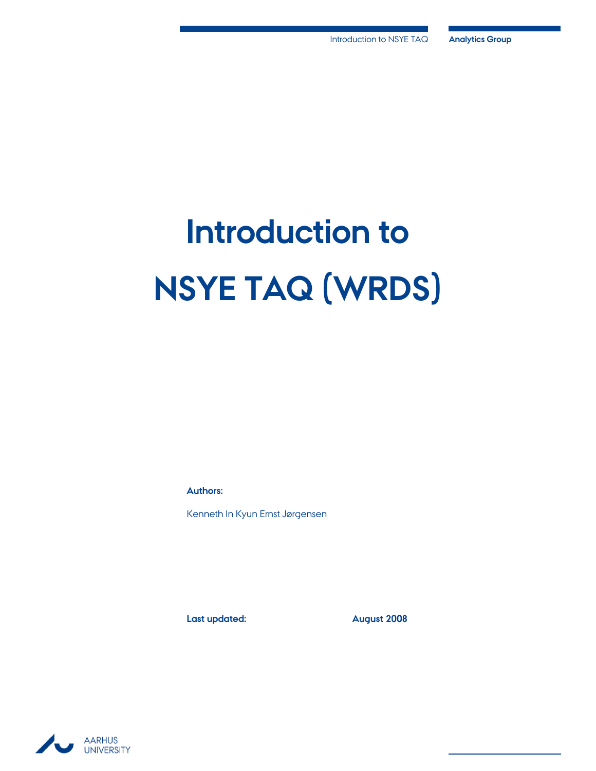# **Introduction to NSYE TAQ (WRDS)**

**Authors:**

Kenneth In Kyun Ernst Jørgensen

Last updated: **August 2008** 

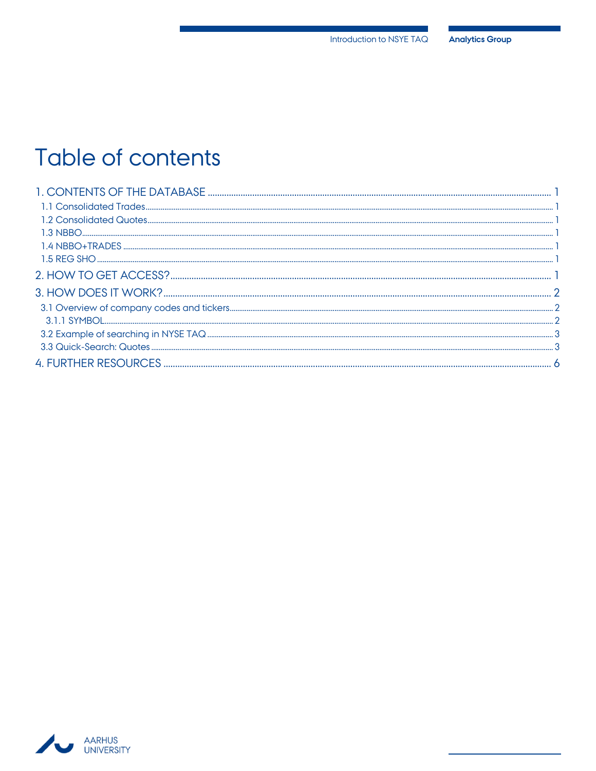## Table of contents

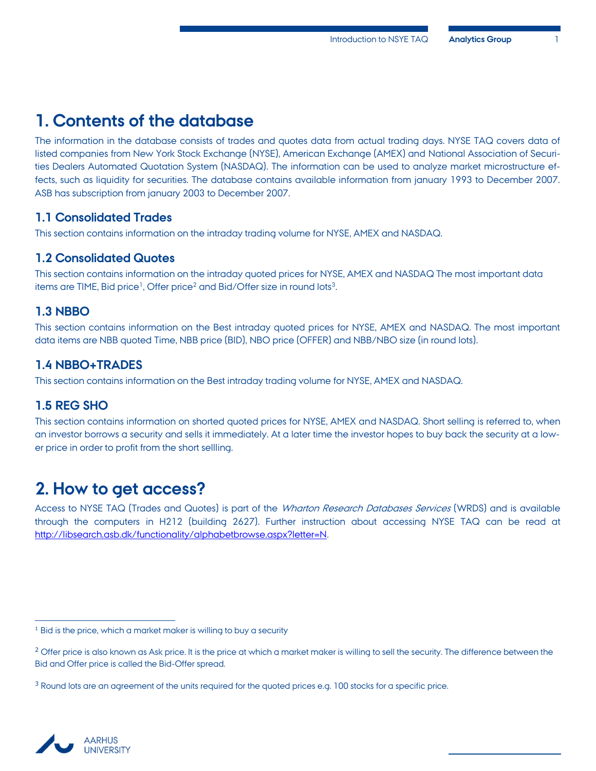## <span id="page-2-0"></span>**1. Contents of the database**

The information in the database consists of trades and quotes data from actual trading days. NYSE TAQ covers data of listed companies from New York Stock Exchange (NYSE), American Exchange (AMEX) and National Association of Securities Dealers Automated Quotation System (NASDAQ). The information can be used to analyze market microstructure effects, such as liquidity for securities. The database contains available information from january 1993 to December 2007. ASB has subscription from january 2003 to December 2007.

### <span id="page-2-1"></span>**1.1 Consolidated Trades**

This section contains information on the intraday trading volume for NYSE, AMEX and NASDAQ.

#### <span id="page-2-2"></span>**1.2 Consolidated Quotes**

This section contains information on the intraday quoted prices for NYSE, AMEX and NASDAQ The most important data items are TIME, Bid price<sup>1</sup>, Offer price<sup>2</sup> and Bid/Offer size in round lots<sup>3</sup> .

## <span id="page-2-3"></span>**1.3 NBBO**

This section contains information on the Best intraday quoted prices for NYSE, AMEX and NASDAQ. The most important data items are NBB quoted Time, NBB price (BID), NBO price (OFFER) and NBB/NBO size (in round lots).

## <span id="page-2-4"></span>**1.4 NBBO+TRADES**

This section contains information on the Best intraday trading volume for NYSE, AMEX and NASDAQ.

## <span id="page-2-5"></span>**1.5 REG SHO**

This section contains information on shorted quoted prices for NYSE, AMEX and NASDAQ. Short selling is referred to, when an investor borrows a security and sells it immediately. At a later time the investor hopes to buy back the security at a lower price in order to profit from the short sellling.

## <span id="page-2-6"></span>**2. How to get access?**

Access to NYSE TAQ (Trades and Quotes) is part of the Wharton Research Databases Services (WRDS) and is available through the computers in H212 (building 2627). Further instruction about accessing NYSE TAQ can be read at [http://libsearch.asb.dk/functionality/alphabetbrowse.aspx?letter=N.](http://libsearch.asb.dk/functionality/alphabetbrowse.aspx?letter=N)



 $\overline{a}$ 

<sup>&</sup>lt;sup>1</sup> Bid is the price, which a market maker is willing to buy a security

<sup>&</sup>lt;sup>2</sup> Offer price is also known as Ask price. It is the price at which a market maker is willing to sell the security. The difference between the Bid and Offer price is called the Bid-Offer spread.

<sup>3</sup> Round lots are an agreement of the units required for the quoted prices e.g. 100 stocks for a specific price.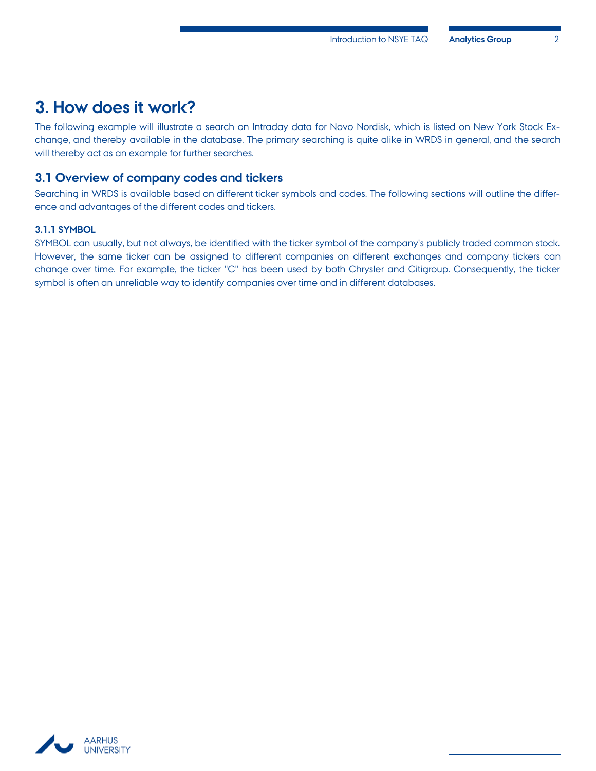## <span id="page-3-0"></span>**3. How does it work?**

The following example will illustrate a search on Intraday data for Novo Nordisk, which is listed on New York Stock Exchange, and thereby available in the database. The primary searching is quite alike in WRDS in general, and the search will thereby act as an example for further searches.

#### <span id="page-3-1"></span>**3.1 Overview of company codes and tickers**

Searching in WRDS is available based on different ticker symbols and codes. The following sections will outline the difference and advantages of the different codes and tickers.

#### <span id="page-3-2"></span>**3.1.1 SYMBOL**

SYMBOL can usually, but not always, be identified with the ticker symbol of the company's publicly traded common stock. However, the same ticker can be assigned to different companies on different exchanges and company tickers can change over time. For example, the ticker "C" has been used by both Chrysler and Citigroup. Consequently, the ticker symbol is often an unreliable way to identify companies over time and in different databases.

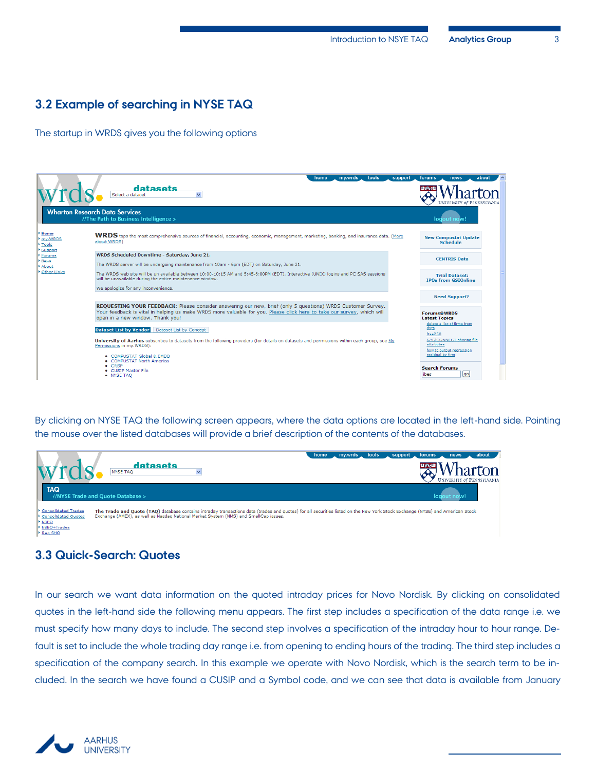## <span id="page-4-0"></span>**3.2 Example of searching in NYSE TAQ**

The startup in WRDS gives you the following options

|                                                      | home<br>my.wrds<br>tools<br>support                                                                                                                                                                                                                                       | forums<br>about<br>news                                                                                              |
|------------------------------------------------------|---------------------------------------------------------------------------------------------------------------------------------------------------------------------------------------------------------------------------------------------------------------------------|----------------------------------------------------------------------------------------------------------------------|
|                                                      | datasets<br>Select a dataset<br>$\checkmark$                                                                                                                                                                                                                              |                                                                                                                      |
|                                                      | <b>Wharton Research Data Services</b><br>//The Path to Business Intelligence >                                                                                                                                                                                            | logout now!                                                                                                          |
| Home<br>my.WRDS<br>$\triangleright$ Tools<br>Support | WRDS taps the most comprehensive sources of financial, accounting, economic, management, marketing, banking, and insurance data. (More<br>about WRDS)                                                                                                                     | <b>New Compustat Update</b><br><b>Schedule</b>                                                                       |
| Forums<br>News<br>About                              | WRDS Scheduled Downtime - Saturday, June 21.<br>The WRDS server will be undergoing maintenance from 10am - 6pm (EDT) on Saturday, June 21.                                                                                                                                | <b>CENTRIS Data</b>                                                                                                  |
| Other Links                                          | The WRDS web site will be un available between 10:00-10:15 AM and 5:45-6:00PM (EDT). Interactive (UNIX) logins and PC SAS sessions<br>will be unavailable during the entire maintenance window.                                                                           | <b>Trial Dataset:</b><br><b>IPOs from GSIOnline</b>                                                                  |
|                                                      | We apologize for any inconvenience.                                                                                                                                                                                                                                       | <b>Need Support?</b>                                                                                                 |
|                                                      | REQUESTING YOUR FEEDBACK: Please consider answering our new, brief (only 5 questions) WRDS Customer Survey.<br>Your feedback is vital in helping us make WRDS more valuable for you. Please click here to take our survey, which will<br>open in a new window. Thank you! | <b>Forums@WRDS</b><br><b>Latest Topics</b>                                                                           |
|                                                      | Dataset List by Vendor Dataset List by Concept<br>University of Aarhus subscribes to datasets from the following providers (for details on datasets and permissions within each group, see My<br>Permissions in mv.WRDS):                                                 | delete a list of firms from<br>data<br>ftse250<br>SAS/CONNECT sharing file<br>attributes<br>how to output regression |
|                                                      | • COMPUSTAT Global & EMDB<br>• COMPUSTAT North America<br>$\bullet$ CRSP<br>• CUSTP Master File<br>• NYSE TAO                                                                                                                                                             | residual by firm<br><b>Search Forums</b><br>go<br>libes                                                              |

By clicking on NYSE TAQ the following screen appears, where the data options are located in the left-hand side. Pointing the mouse over the listed databases will provide a brief description of the contents of the databases.



## <span id="page-4-1"></span>**3.3 Quick-Search: Quotes**

In our search we want data information on the quoted intraday prices for Novo Nordisk. By clicking on consolidated quotes in the left-hand side the following menu appears. The first step includes a specification of the data range i.e. we must specify how many days to include. The second step involves a specification of the intraday hour to hour range. Default is set to include the whole trading day range i.e. from opening to ending hours of the trading. The third step includes a specification of the company search. In this example we operate with Novo Nordisk, which is the search term to be included. In the search we have found a CUSIP and a Symbol code, and we can see that data is available from January

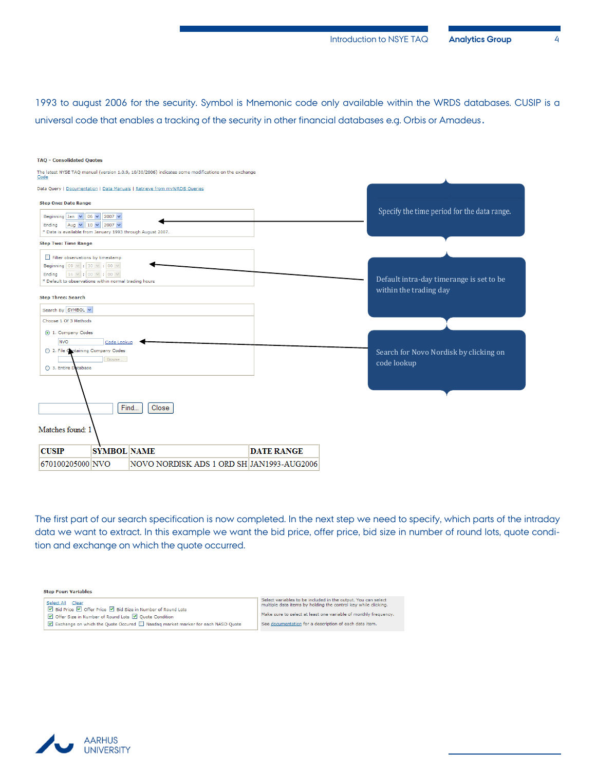1993 to august 2006 for the security. Symbol is Mnemonic code only available within the WRDS databases. CUSIP is a universal code that enables a tracking of the security in other financial databases e.g. Orbis or Amadeus.

| <b>TAQ - Consolidated Quotes</b>                                                                                                                                                                                                                       |                   |                                                                    |
|--------------------------------------------------------------------------------------------------------------------------------------------------------------------------------------------------------------------------------------------------------|-------------------|--------------------------------------------------------------------|
| The latest NYSE TAQ manual (version 1.0.9, 10/30/2006) indicates some modifications on the exchange<br><b>Code</b>                                                                                                                                     |                   |                                                                    |
| Data Query   Documentation   Data Manuals   Retrieve from myWRDS Queries                                                                                                                                                                               |                   |                                                                    |
| <b>Step One: Date Range</b>                                                                                                                                                                                                                            |                   |                                                                    |
| Beginning Jan $\sqrt{6}$ 06 $\sqrt{2007}$<br>Aug $\vee$ 10 $\vee$ 2007 $\vee$<br>Ending<br>* Data is available from January 1993 through August 2007.                                                                                                  |                   | Specify the time period for the data range.                        |
| <b>Step Two: Time Range</b>                                                                                                                                                                                                                            |                   |                                                                    |
| Filter observations by timestamp<br>Beginning $\begin{array}{ c c c c c c }\n\hline\n09 & \vee & 30 & \vee & 00 & \vee \\ \hline\n\end{array}$<br>16 $\vee$ : 00 $\vee$ : 00 $\vee$<br>Ending<br>* Default to observations within normal trading hours |                   | Default intra-day timerange is set to be<br>within the trading day |
| <b>Step Three: Search</b>                                                                                                                                                                                                                              |                   |                                                                    |
| Search By SYMBOL V                                                                                                                                                                                                                                     |                   |                                                                    |
| Choose 1 Of 3 Methods                                                                                                                                                                                                                                  |                   |                                                                    |
| 1. Company Codes<br><b>NVO</b><br>Code Lookup                                                                                                                                                                                                          |                   |                                                                    |
| ◯ 2. File Containing Company Codes<br>Browse.<br>◯ 3. Entire Detabase                                                                                                                                                                                  |                   | Search for Novo Nordisk by clicking on<br>code lookup              |
| Find<br>Close<br>Matches found: 1                                                                                                                                                                                                                      |                   |                                                                    |
| <b>SYMBOL NAME</b><br><b>CUSIP</b>                                                                                                                                                                                                                     | <b>DATE RANGE</b> |                                                                    |
| NOVO NORDISK ADS 1 ORD SH JAN1993-AUG2006<br>670100205000 NVO                                                                                                                                                                                          |                   |                                                                    |

The first part of our search specification is now completed. In the next step we need to specify, which parts of the intraday data we want to extract. In this example we want the bid price, offer price, bid size in number of round lots, quote condition and exchange on which the quote occurred.



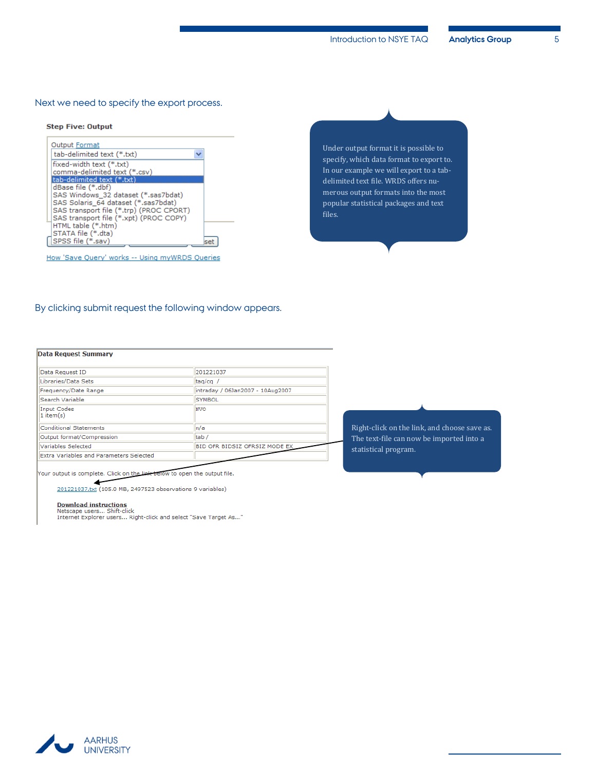#### Next we need to specify the export process.

#### **Step Five: Output**

| <b>Output Format</b>                    |  |
|-----------------------------------------|--|
| tab-delimited text (*.txt)              |  |
| fixed-width text (*.txt)                |  |
| comma-delimited text (*.csv)            |  |
| tab-delimited text (*.txt)              |  |
| dBase file (*.dbf)                      |  |
| SAS Windows 32 dataset (*.sas7bdat)     |  |
| SAS Solaris 64 dataset (*.sas7bdat)     |  |
| SAS transport file (*.trp) (PROC CPORT) |  |
| SAS transport file (*.xpt) (PROC COPY)  |  |
| HTML table (*.htm)                      |  |
| STATA file (*.dta)                      |  |
| SPSS file (*.sav)                       |  |
|                                         |  |

How 'Save Query' works -- Using myWRDS Queries

Under output format it is possible to specify, which data format to export to. In our example we will export to a tabdelimited text file. WRDS offers numerous output formats into the most popular statistical packages and text files.

#### By clicking submit request the following window appears.

#### **Data Request Summary**

| Data Request ID                         | 201221037                        |
|-----------------------------------------|----------------------------------|
| Libraries/Data Sets                     | taq/cq /                         |
| Frequency/Date Range                    | intraday / 06Jan2007 - 10Aug2007 |
| Search Variable                         | <b>SYMBOL</b>                    |
| Input Codes<br>$1$ item(s)              | <b>NVO</b>                       |
| <b>Conditional Statements</b>           | n/a                              |
| Output format/Compression               | tab/                             |
| Variables Selected                      | BID OFR BIDSIZ OFRSIZ MODE EX    |
| Extra Variables and Parameters Selected |                                  |

Your output is complete. Click on the link below to open the output file.

201221037.txt (105.0 MB, 2497523 observations 9 variables)

Download instructions<br>Netscape users... Shift-click<br>Internet Explorer users... Right-click and select "Save Target As..."

Right-click on the link, and choose save as. The text-file can now be imported into a statistical program.

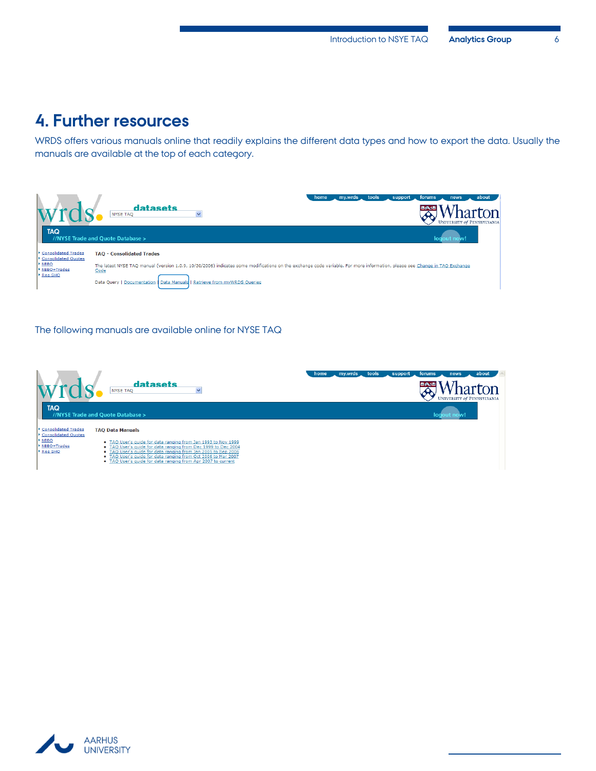## <span id="page-7-0"></span>**4. Further resources**

WRDS offers various manuals online that readily explains the different data types and how to export the data. Usually the manuals are available at the top of each category.



The following manuals are available online for NYSE TAQ